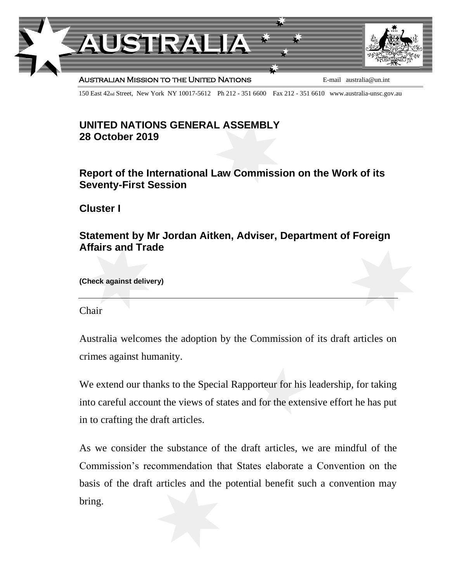

150 East 42nd Street, New York NY 10017-5612 Ph 212 - 351 6600 Fax 212 - 351 6610 www.australia-unsc.gov.au

## **UNITED NATIONS GENERAL ASSEMBLY 28 October 2019**

## **Report of the International Law Commission on the Work of its Seventy-First Session**

**Cluster I**

## **Statement by Mr Jordan Aitken, Adviser, Department of Foreign Affairs and Trade**

**(Check against delivery)**

Chair

Australia welcomes the adoption by the Commission of its draft articles on crimes against humanity.

We extend our thanks to the Special Rapporteur for his leadership, for taking into careful account the views of states and for the extensive effort he has put in to crafting the draft articles.

As we consider the substance of the draft articles, we are mindful of the Commission's recommendation that States elaborate a Convention on the basis of the draft articles and the potential benefit such a convention may bring.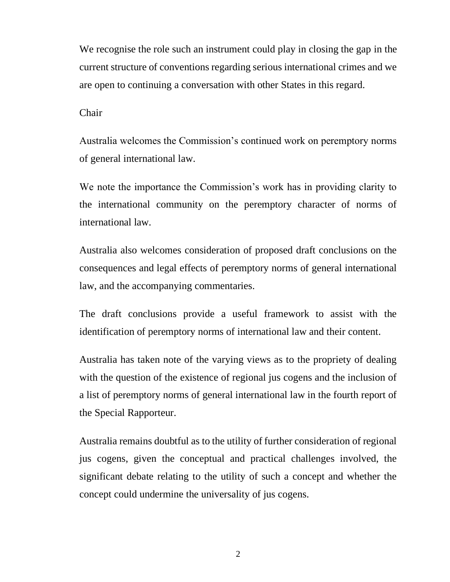We recognise the role such an instrument could play in closing the gap in the current structure of conventions regarding serious international crimes and we are open to continuing a conversation with other States in this regard.

Chair

Australia welcomes the Commission's continued work on peremptory norms of general international law.

We note the importance the Commission's work has in providing clarity to the international community on the peremptory character of norms of international law.

Australia also welcomes consideration of proposed draft conclusions on the consequences and legal effects of peremptory norms of general international law, and the accompanying commentaries.

The draft conclusions provide a useful framework to assist with the identification of peremptory norms of international law and their content.

Australia has taken note of the varying views as to the propriety of dealing with the question of the existence of regional jus cogens and the inclusion of a list of peremptory norms of general international law in the fourth report of the Special Rapporteur.

Australia remains doubtful as to the utility of further consideration of regional jus cogens, given the conceptual and practical challenges involved, the significant debate relating to the utility of such a concept and whether the concept could undermine the universality of jus cogens.